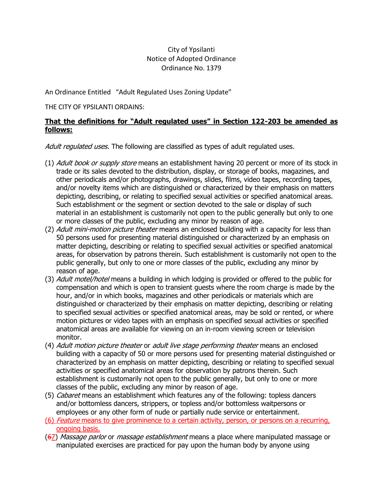# City of Ypsilanti Notice of Adopted Ordinance Ordinance No. 1379

An Ordinance Entitled "Adult Regulated Uses Zoning Update"

#### THE CITY OF YPSILANTI ORDAINS:

### **That the definitions for "Adult regulated uses" in Section 122-203 be amended as follows:**

Adult regulated uses. The following are classified as types of adult regulated uses.

- (1) Adult book or supply store means an establishment having 20 percent or more of its stock in trade or its sales devoted to the distribution, display, or storage of books, magazines, and other periodicals and/or photographs, drawings, slides, films, video tapes, recording tapes, and/or novelty items which are distinguished or characterized by their emphasis on matters depicting, describing, or relating to specified sexual activities or specified anatomical areas. Such establishment or the segment or section devoted to the sale or display of such material in an establishment is customarily not open to the public generally but only to one or more classes of the public, excluding any minor by reason of age.
- (2) Adult mini-motion picture theater means an enclosed building with a capacity for less than 50 persons used for presenting material distinguished or characterized by an emphasis on matter depicting, describing or relating to specified sexual activities or specified anatomical areas, for observation by patrons therein. Such establishment is customarily not open to the public generally, but only to one or more classes of the public, excluding any minor by reason of age.
- (3) Adult motel/hotel means a building in which lodging is provided or offered to the public for compensation and which is open to transient guests where the room charge is made by the hour, and/or in which books, magazines and other periodicals or materials which are distinguished or characterized by their emphasis on matter depicting, describing or relating to specified sexual activities or specified anatomical areas, may be sold or rented, or where motion pictures or video tapes with an emphasis on specified sexual activities or specified anatomical areas are available for viewing on an in-room viewing screen or television monitor.
- (4) Adult motion picture theater or adult live stage performing theater means an enclosed building with a capacity of 50 or more persons used for presenting material distinguished or characterized by an emphasis on matter depicting, describing or relating to specified sexual activities or specified anatomical areas for observation by patrons therein. Such establishment is customarily not open to the public generally, but only to one or more classes of the public, excluding any minor by reason of age.
- (5) Cabaret means an establishment which features any of the following: topless dancers and/or bottomless dancers, strippers, or topless and/or bottomless waitpersons or employees or any other form of nude or partially nude service or entertainment.
- (6) Feature means to give prominence to a certain activity, person, or persons on a recurring, ongoing basis.
- (67) Massage parlor or *massage establishment* means a place where manipulated massage or manipulated exercises are practiced for pay upon the human body by anyone using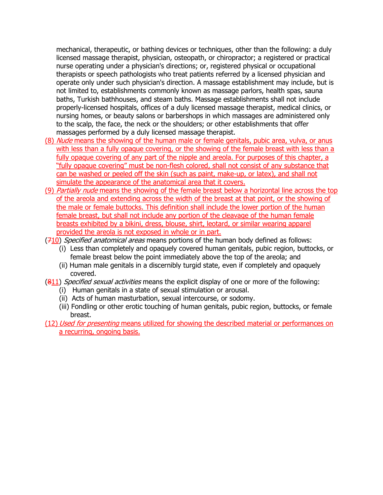mechanical, therapeutic, or bathing devices or techniques, other than the following: a duly licensed massage therapist, physician, osteopath, or chiropractor; a registered or practical nurse operating under a physician's directions; or, registered physical or occupational therapists or speech pathologists who treat patients referred by a licensed physician and operate only under such physician's direction. A massage establishment may include, but is not limited to, establishments commonly known as massage parlors, health spas, sauna baths, Turkish bathhouses, and steam baths. Massage establishments shall not include properly-licensed hospitals, offices of a duly licensed massage therapist, medical clinics, or nursing homes, or beauty salons or barbershops in which massages are administered only to the scalp, the face, the neck or the shoulders; or other establishments that offer massages performed by a duly licensed massage therapist.

- (8) Nude means the showing of the human male or female genitals, pubic area, vulva, or anus with less than a fully opaque covering, or the showing of the female breast with less than a fully opaque covering of any part of the nipple and areola. For purposes of this chapter, a "fully opaque covering" must be non-flesh colored, shall not consist of any substance that can be washed or peeled off the skin (such as paint, make-up, or latex), and shall not simulate the appearance of the anatomical area that it covers.
- (9) Partially nude means the showing of the female breast below a horizontal line across the top of the areola and extending across the width of the breast at that point, or the showing of the male or female buttocks. This definition shall include the lower portion of the human female breast, but shall not include any portion of the cleavage of the human female breasts exhibited by a bikini, dress, blouse, shirt, leotard, or similar wearing apparel provided the areola is not exposed in whole or in part.
- (710) Specified anatomical areas means portions of the human body defined as follows:
	- (i) Less than completely and opaquely covered human genitals, pubic region, buttocks, or female breast below the point immediately above the top of the areola; and
	- (ii) Human male genitals in a discernibly turgid state, even if completely and opaquely covered.
- (811) Specified sexual activities means the explicit display of one or more of the following:
	- (i) Human genitals in a state of sexual stimulation or arousal.
	- (ii) Acts of human masturbation, sexual intercourse, or sodomy.
	- (iii) Fondling or other erotic touching of human genitals, pubic region, buttocks, or female breast.
- (12) Used for presenting means utilized for showing the described material or performances on a recurring, ongoing basis.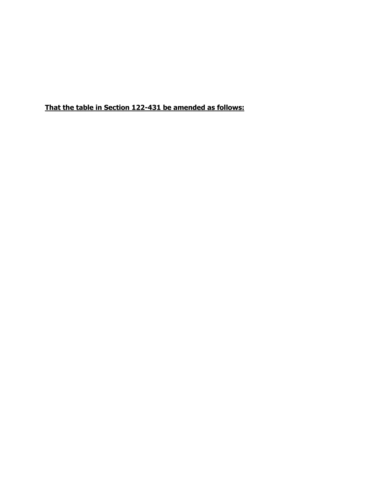**That the table in Section 122-431 be amended as follows:**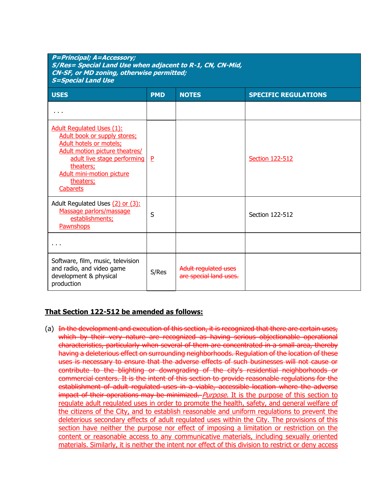| <b>P=Principal; A=Accessory;</b><br>S/Res= Special Land Use when adjacent to R-1, CN, CN-Mid,<br><b>CN-SF, or MD zoning, otherwise permitted;</b><br><b>S=Special Land Use</b>                                                                       |            |                                                |                             |
|------------------------------------------------------------------------------------------------------------------------------------------------------------------------------------------------------------------------------------------------------|------------|------------------------------------------------|-----------------------------|
| <b>USES</b>                                                                                                                                                                                                                                          | <b>PMD</b> | <b>NOTES</b>                                   | <b>SPECIFIC REGULATIONS</b> |
| $\cdots$                                                                                                                                                                                                                                             |            |                                                |                             |
| <b>Adult Regulated Uses (1):</b><br>Adult book or supply stores;<br><b>Adult hotels or motels;</b><br>Adult motion picture theatres/<br>adult live stage performing<br>theaters;<br><b>Adult mini-motion picture</b><br>theaters;<br><b>Cabarets</b> | P          |                                                | <b>Section 122-512</b>      |
| Adult Regulated Uses (2) or (3):<br>Massage parlors/massage<br>establishments;<br>Pawnshops                                                                                                                                                          | S          |                                                | Section 122-512             |
|                                                                                                                                                                                                                                                      |            |                                                |                             |
| Software, film, music, television<br>and radio, and video game<br>development & physical<br>production                                                                                                                                               | S/Res      | Adult regulated uses<br>are special land uses. |                             |

### **That Section 122-512 be amended as follows:**

(a) In the development and execution of this section, it is recognized that there are certain uses, which by their very nature are recognized as having serious objectionable operational characteristics, particularly when several of them are concentrated in a small area, thereby having a deleterious effect on surrounding neighborhoods. Regulation of the location of these uses is necessary to ensure that the adverse effects of such businesses will not cause or contribute to the blighting or downgrading of the city's residential neighborhoods or commercial centers. It is the intent of this section to provide reasonable regulations for the establishment of adult regulated uses in a viable, accessible location where the adverse impact of their operations may be minimized. *Purpose*. It is the purpose of this section to regulate adult regulated uses in order to promote the health, safety, and general welfare of the citizens of the City, and to establish reasonable and uniform regulations to prevent the deleterious secondary effects of adult regulated uses within the City. The provisions of this section have neither the purpose nor effect of imposing a limitation or restriction on the content or reasonable access to any communicative materials, including sexually oriented materials. Similarly, it is neither the intent nor effect of this division to restrict or deny access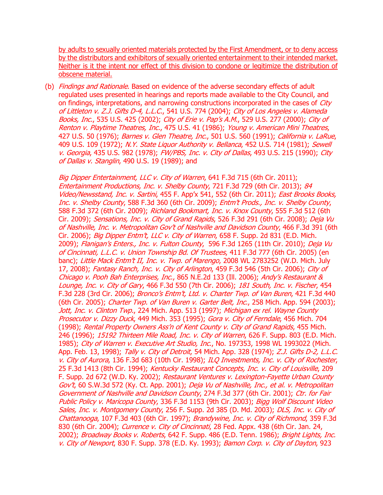by adults to sexually oriented materials protected by the First Amendment, or to deny access by the distributors and exhibitors of sexually oriented entertainment to their intended market. Neither is it the intent nor effect of this division to condone or legitimize the distribution of obscene material.

(b) Findings and Rationale. Based on evidence of the adverse secondary effects of adult regulated uses presented in hearings and reports made available to the City Council, and on findings, interpretations, and narrowing constructions incorporated in the cases of *City* of Littleton v. Z.J. Gifts D-4, L.L.C., 541 U.S. 774 (2004); City of Los Angeles v. Alameda Books, Inc., 535 U.S. 425 (2002); City of Erie v. Pap's A.M., 529 U.S. 277 (2000); City of Renton v. Playtime Theatres, Inc., 475 U.S. 41 (1986); Young v. American Mini Theatres, 427 U.S. 50 (1976); Barnes v. Glen Theatre, Inc., 501 U.S. 560 (1991); California v. LaRue, 409 U.S. 109 (1972); N.Y. State Liquor Authority v. Bellanca, 452 U.S. 714 (1981); Sewell v. Georgia, 435 U.S. 982 (1978); FW/PBS, Inc. v. City of Dallas, 493 U.S. 215 (1990); City of Dallas v. Stanglin, 490 U.S. 19 (1989); and

Big Dipper Entertainment, LLC v. City of Warren, 641 F.3d 715 (6th Cir. 2011); Entertainment Productions, Inc. v. Shelby County, 721 F.3d 729 (6th Cir. 2013); 84 Video/Newsstand, Inc. v. Sartini, 455 F. App'x 541, 552 (6th Cir. 2011); East Brooks Books, Inc. v. Shelby County, 588 F.3d 360 (6th Cir. 2009); Entm't Prods., Inc. v. Shelby County, 588 F.3d 372 (6th Cir. 2009); Richland Bookmart, Inc. v. Knox County, 555 F.3d 512 (6th Cir. 2009); Sensations, Inc. v. City of Grand Rapids, 526 F.3d 291 (6th Cir. 2008); Deja Vu of Nashville, Inc. v. Metropolitan Gov't of Nashville and Davidson County, 466 F.3d 391 (6th Cir. 2006); Big Dipper Entm't, LLC v. City of Warren, 658 F. Supp. 2d 831 (E.D. Mich. 2009); Flanigan's Enters., Inc. v. Fulton County, 596 F.3d 1265 (11th Cir. 2010); Deja Vu of Cincinnati, L.L.C. v. Union Township Bd. Of Trustees, 411 F.3d 777 (6th Cir. 2005) (en banc); Little Mack Entm't II, Inc. v. Twp. of Marengo, 2008 WL 2783252 (W.D. Mich. July 17, 2008); Fantasy Ranch, Inc. v. City of Arlington, 459 F.3d 546 (5th Cir. 2006); City of Chicago v. Pooh Bah Enterprises, Inc., 865 N.E.2d 133 (Ill. 2006); Andy's Restaurant & Lounge, Inc. v. City of Gary, 466 F.3d 550 (7th Cir. 2006); 181 South, Inc. v. Fischer, 454 F.3d 228 (3rd Cir. 2006); Bronco's Entm't, Ltd. v. Charter Twp. of Van Buren, 421 F.3d 440 (6th Cir. 2005); Charter Twp. of Van Buren v. Garter Belt, Inc., 258 Mich. App. 594 (2003); Jott, Inc. v. Clinton Twp., 224 Mich. App. 513 (1997); Michigan ex rel. Wayne County Prosecutor v. Dizzy Duck, 449 Mich. 353 (1995); Gora v. City of Ferndale, 456 Mich. 704 (1998); Rental Property Owners Ass'n of Kent County v. City of Grand Rapids, 455 Mich. 246 (1996); 15192 Thirteen Mile Road, Inc. v. City of Warren, 626 F. Supp. 803 (E.D. Mich. 1985); City of Warren v. Executive Art Studio, Inc., No. 197353, 1998 WL 1993022 (Mich. App. Feb. 13, 1998); Tally v. City of Detroit, 54 Mich. App. 328 (1974); Z.J. Gifts D-2, L.L.C. v. City of Aurora, 136 F.3d 683 (10th Cir. 1998); ILQ Investments, Inc. v. City of Rochester, 25 F.3d 1413 (8th Cir. 1994); Kentucky Restaurant Concepts, Inc. v. City of Louisville, 209 F. Supp. 2d 672 (W.D. Ky. 2002); Restaurant Ventures v. Lexington-Fayette Urban County Gov't, 60 S.W.3d 572 (Ky. Ct. App. 2001); Deja Vu of Nashville, Inc., et al. v. Metropolitan Government of Nashville and Davidson County, 274 F.3d 377 (6th Cir. 2001); Ctr. for Fair Public Policy v. Maricopa County, 336 F.3d 1153 (9th Cir. 2003); Bigg Wolf Discount Video Sales, Inc. v. Montgomery County, 256 F. Supp. 2d 385 (D. Md. 2003); DLS, Inc. v. City of Chattanooga, 107 F.3d 403 (6th Cir. 1997); Brandywine, Inc. v. City of Richmond, 359 F.3d 830 (6th Cir. 2004); *Currence v. City of Cincinnati*, 28 Fed. Appx. 438 (6th Cir. Jan. 24, 2002); Broadway Books v. Roberts, 642 F. Supp. 486 (E.D. Tenn. 1986); Bright Lights, Inc. v. City of Newport, 830 F. Supp. 378 (E.D. Ky. 1993); Bamon Corp. v. City of Dayton, 923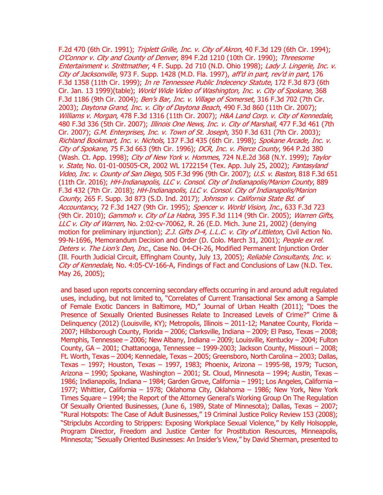F.2d 470 (6th Cir. 1991); Triplett Grille, Inc. v. City of Akron, 40 F.3d 129 (6th Cir. 1994); O'Connor v. City and County of Denver, 894 F.2d 1210 (10th Cir. 1990); Threesome Entertainment v. Strittmather, 4 F. Supp. 2d 710 (N.D. Ohio 1998); Lady J. Lingerie, Inc. v. City of Jacksonville, 973 F. Supp. 1428 (M.D. Fla. 1997), aff'd in part, rev'd in part, 176 F.3d 1358 (11th Cir. 1999); In re Tennessee Public Indecency Statute, 172 F.3d 873 (6th Cir. Jan. 13 1999)(table); World Wide Video of Washington, Inc. v. City of Spokane, 368 F.3d 1186 (9th Cir. 2004); Ben's Bar, Inc. v. Village of Somerset, 316 F.3d 702 (7th Cir. 2003); Daytona Grand, Inc. v. City of Daytona Beach, 490 F.3d 860 (11th Cir. 2007); Williams v. Morgan, 478 F.3d 1316 (11th Cir. 2007); H&A Land Corp. v. City of Kennedale, 480 F.3d 336 (5th Cir. 2007); Illinois One News, Inc. v. City of Marshall, 477 F.3d 461 (7th Cir. 2007); G.M. Enterprises, Inc. v. Town of St. Joseph, 350 F.3d 631 (7th Cir. 2003); Richland Bookmart, Inc. v. Nichols, 137 F.3d 435 (6th Cir. 1998); Spokane Arcade, Inc. v. City of Spokane, 75 F.3d 663 (9th Cir. 1996); DCR, Inc. v. Pierce County, 964 P.2d 380 (Wash. Ct. App. 1998); *City of New York v. Hommes*, 724 N.E.2d 368 (N.Y. 1999); Taylor v. State, No. 01-01-00505-CR, 2002 WL 1722154 (Tex. App. July 25, 2002); Fantasyland Video, Inc. v. County of San Diego, 505 F.3d 996 (9th Cir. 2007); U.S. v. Baston, 818 F.3d 651 (11th Cir. 2016); HH-Indianapolis, LLC v. Consol. City of Indianapolis/Marion County, 889 F.3d 432 (7th Cir. 2018); HH-Indianapolis, LLC v. Consol. City of Indianapolis/Marion County, 265 F. Supp. 3d 873 (S.D. Ind. 2017); Johnson v. California State Bd. of Accountancy, 72 F.3d 1427 (9th Cir. 1995); Spencer v. World Vision, Inc., 633 F.3d 723 (9th Cir. 2010); Gammoh v. City of La Habra, 395 F.3d 1114 (9th Cir. 2005); Warren Gifts, LLC v. City of Warren, No. 2:02-cv-70062, R. 26 (E.D. Mich. June 21, 2002) (denying motion for preliminary injunction); Z.J. Gifts D-4, L.L.C. v. City of Littleton, Civil Action No. 99-N-1696, Memorandum Decision and Order (D. Colo. March 31, 2001); People ex rel. Deters v. The Lion's Den, Inc., Case No. 04-CH-26, Modified Permanent Injunction Order (Ill. Fourth Judicial Circuit, Effingham County, July 13, 2005); Reliable Consultants, Inc. v. City of Kennedale, No. 4:05-CV-166-A, Findings of Fact and Conclusions of Law (N.D. Tex. May 26, 2005);

and based upon reports concerning secondary effects occurring in and around adult regulated uses, including, but not limited to, "Correlates of Current Transactional Sex among a Sample of Female Exotic Dancers in Baltimore, MD," Journal of Urban Health (2011); "Does the Presence of Sexually Oriented Businesses Relate to Increased Levels of Crime?" Crime & Delinquency (2012) (Louisville, KY); Metropolis, Illinois - 2011-12; Manatee County, Florida -2007; Hillsborough County, Florida – 2006; Clarksville, Indiana – 2009; El Paso, Texas – 2008; Memphis, Tennessee – 2006; New Albany, Indiana – 2009; Louisville, Kentucky – 2004; Fulton County, GA – 2001; Chattanooga, Tennessee – 1999-2003; Jackson County, Missouri – 2008; Ft. Worth, Texas – 2004; Kennedale, Texas – 2005; Greensboro, North Carolina – 2003; Dallas, Texas – 1997; Houston, Texas – 1997, 1983; Phoenix, Arizona – 1995-98, 1979; Tucson, Arizona – 1990; Spokane, Washington – 2001; St. Cloud, Minnesota – 1994; Austin, Texas – 1986; Indianapolis, Indiana – 1984; Garden Grove, California – 1991; Los Angeles, California – 1977; Whittier, California – 1978; Oklahoma City, Oklahoma – 1986; New York, New York Times Square – 1994; the Report of the Attorney General's Working Group On The Regulation Of Sexually Oriented Businesses, (June 6, 1989, State of Minnesota); Dallas, Texas – 2007; "Rural Hotspots: The Case of Adult Businesses," 19 Criminal Justice Policy Review 153 (2008); "Stripclubs According to Strippers: Exposing Workplace Sexual Violence," by Kelly Holsopple, Program Director, Freedom and Justice Center for Prostitution Resources, Minneapolis, Minnesota; "Sexually Oriented Businesses: An Insider's View," by David Sherman, presented to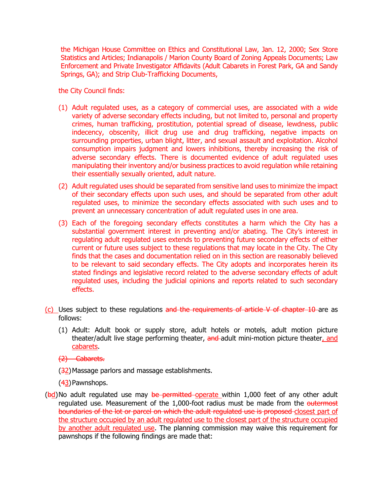the Michigan House Committee on Ethics and Constitutional Law, Jan. 12, 2000; Sex Store Statistics and Articles; Indianapolis / Marion County Board of Zoning Appeals Documents; Law Enforcement and Private Investigator Affidavits (Adult Cabarets in Forest Park, GA and Sandy Springs, GA); and Strip Club-Trafficking Documents,

the City Council finds:

- (1) Adult regulated uses, as a category of commercial uses, are associated with a wide variety of adverse secondary effects including, but not limited to, personal and property crimes, human trafficking, prostitution, potential spread of disease, lewdness, public indecency, obscenity, illicit drug use and drug trafficking, negative impacts on surrounding properties, urban blight, litter, and sexual assault and exploitation. Alcohol consumption impairs judgment and lowers inhibitions, thereby increasing the risk of adverse secondary effects. There is documented evidence of adult regulated uses manipulating their inventory and/or business practices to avoid regulation while retaining their essentially sexually oriented, adult nature.
- (2) Adult regulated uses should be separated from sensitive land uses to minimize the impact of their secondary effects upon such uses, and should be separated from other adult regulated uses, to minimize the secondary effects associated with such uses and to prevent an unnecessary concentration of adult regulated uses in one area.
- (3) Each of the foregoing secondary effects constitutes a harm which the City has a substantial government interest in preventing and/or abating. The City's interest in regulating adult regulated uses extends to preventing future secondary effects of either current or future uses subject to these regulations that may locate in the City. The City finds that the cases and documentation relied on in this section are reasonably believed to be relevant to said secondary effects. The City adopts and incorporates herein its stated findings and legislative record related to the adverse secondary effects of adult regulated uses, including the judicial opinions and reports related to such secondary effects.
- (c) Uses subject to these regulations and the requirements of article V of chapter 10 are as follows:
	- (1) Adult: Adult book or supply store, adult hotels or motels, adult motion picture theater/adult live stage performing theater, and adult mini-motion picture theater, and cabarets.

(2) Cabarets.

(32) Massage parlors and massage establishments.

(43)Pawnshops.

 $(bd)$ No adult regulated use may be permitted operate within 1,000 feet of any other adult regulated use. Measurement of the 1,000-foot radius must be made from the outermost boundaries of the lot or parcel on which the adult regulated use is proposed closest part of the structure occupied by an adult regulated use to the closest part of the structure occupied by another adult regulated use. The planning commission may waive this requirement for pawnshops if the following findings are made that: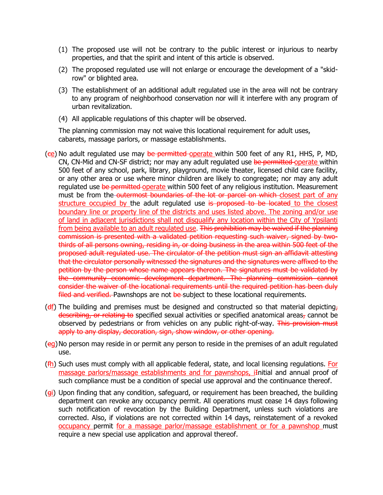- (1) The proposed use will not be contrary to the public interest or injurious to nearby properties, and that the spirit and intent of this article is observed.
- (2) The proposed regulated use will not enlarge or encourage the development of a "skidrow" or blighted area.
- (3) The establishment of an additional adult regulated use in the area will not be contrary to any program of neighborhood conservation nor will it interfere with any program of urban revitalization.
- (4) All applicable regulations of this chapter will be observed.

The planning commission may not waive this locational requirement for adult uses, cabarets, massage parlors, or massage establishments.

- ( $ee$ ) No adult regulated use may be permitted operate within 500 feet of any R1, HHS, P, MD, CN, CN-Mid and CN-SF district; nor may any adult regulated use be permitted operate within 500 feet of any school, park, library, playground, movie theater, licensed child care facility, or any other area or use where minor children are likely to congregate; nor may any adult regulated use be permitted-operate within 500 feet of any religious institution. Measurement must be from the outermost boundaries of the lot or parcel on which closest part of any structure occupied by the adult regulated use is proposed to be located to the closest boundary line or property line of the districts and uses listed above. The zoning and/or use of land in adjacent jurisdictions shall not disqualify any location within the City of Ypsilanti from being available to an adult regulated use. This prohibition may be waived if the planning commission is presented with a validated petition requesting such waiver, signed by twothirds of all persons owning, residing in, or doing business in the area within 500 feet of the proposed adult regulated use. The circulator of the petition must sign an affidavit attesting that the circulator personally witnessed the signatures and the signatures were affixed to the petition by the person whose name appears thereon. The signatures must be validated by the community economic development department. The planning commission cannot consider the waiver of the locational requirements until the required petition has been duly filed and verified. Pawnshops are not be subject to these locational requirements.
- ( $df$ ) The building and premises must be designed and constructed so that material depicting, describing, or relating to specified sexual activities or specified anatomical areas, cannot be observed by pedestrians or from vehicles on any public right-of-way. This provision must apply to any display, decoration, sign, show window, or other opening.
- (eg)No person may reside in or permit any person to reside in the premises of an adult regulated use.
- $(fh)$  Such uses must comply with all applicable federal, state, and local licensing regulations. For massage parlors/massage establishments and for pawnshops, iInitial and annual proof of such compliance must be a condition of special use approval and the continuance thereof.
- $(g<sub>i</sub>)$  Upon finding that any condition, safeguard, or requirement has been breached, the building department can revoke any occupancy permit. All operations must cease 14 days following such notification of revocation by the Building Department, unless such violations are corrected. Also, if violations are not corrected within 14 days, reinstatement of a revoked occupancy permit for a massage parlor/massage establishment or for a pawnshop must require a new special use application and approval thereof.